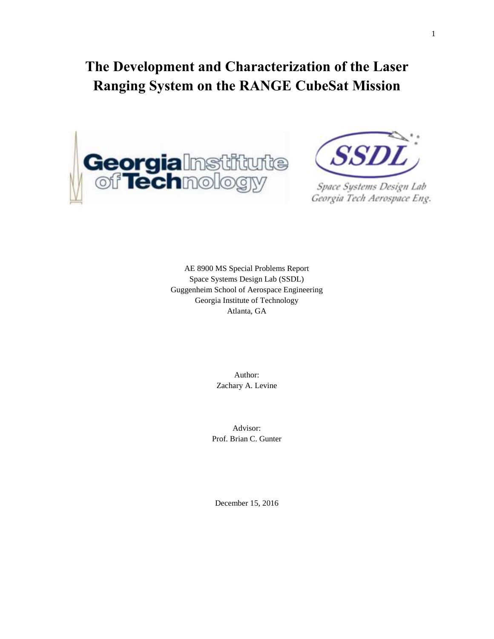# **The Development and Characterization of the Laser Ranging System on the RANGE CubeSat Mission**





Space Systems Design Lab Georgia Tech Aerospace Eng.

AE 8900 MS Special Problems Report Space Systems Design Lab (SSDL) Guggenheim School of Aerospace Engineering Georgia Institute of Technology Atlanta, GA

> Author: Zachary A. Levine

Advisor: Prof. Brian C. Gunter

December 15, 2016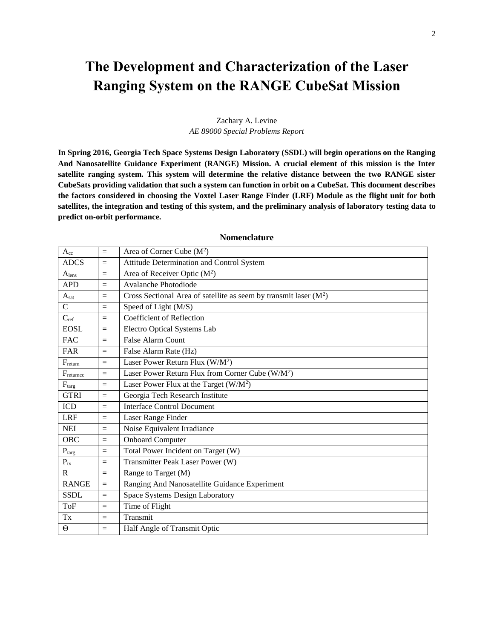# **The Development and Characterization of the Laser Ranging System on the RANGE CubeSat Mission**

## Zachary A. Levine *AE 89000 Special Problems Report*

**In Spring 2016, Georgia Tech Space Systems Design Laboratory (SSDL) will begin operations on the Ranging And Nanosatellite Guidance Experiment (RANGE) Mission. A crucial element of this mission is the Inter satellite ranging system. This system will determine the relative distance between the two RANGE sister CubeSats providing validation that such a system can function in orbit on a CubeSat. This document describes the factors considered in choosing the Voxtel Laser Range Finder (LRF) Module as the flight unit for both satellites, the integration and testing of this system, and the preliminary analysis of laboratory testing data to predict on-orbit performance.** 

| $A_{cc}$          | $=$             | Area of Corner Cube $(M^2)$                                        |
|-------------------|-----------------|--------------------------------------------------------------------|
| <b>ADCS</b>       | $=$             | Attitude Determination and Control System                          |
| A <sub>lens</sub> | $\equiv$        | Area of Receiver Optic $(M^2)$                                     |
| <b>APD</b>        | $=$             | Avalanche Photodiode                                               |
| $A_{sat}$         | $=$             | Cross Sectional Area of satellite as seem by transmit laser $(M2)$ |
| $\mathcal{C}$     | $=$             | Speed of Light (M/S)                                               |
| $C_{ref}$         | $=$             | <b>Coefficient of Reflection</b>                                   |
| <b>EOSL</b>       | $=$             | Electro Optical Systems Lab                                        |
| <b>FAC</b>        | $\equiv$        | <b>False Alarm Count</b>                                           |
| FAR               | $=$             | False Alarm Rate (Hz)                                              |
| $F_{\rm return}$  | $=$             | Laser Power Return Flux (W/M <sup>2</sup> )                        |
| Freturncc         | $=$             | Laser Power Return Flux from Corner Cube $(W/M^2)$                 |
| $F_{\text{targ}}$ | $=$             | Laser Power Flux at the Target $(W/M^2)$                           |
| <b>GTRI</b>       | $=$             | Georgia Tech Research Institute                                    |
| <b>ICD</b>        | $=$             | <b>Interface Control Document</b>                                  |
| <b>LRF</b>        | $=$             | Laser Range Finder                                                 |
| <b>NEI</b>        | $=$             | Noise Equivalent Irradiance                                        |
| <b>OBC</b>        | $=$             | <b>Onboard Computer</b>                                            |
| $P_{\text{targ}}$ | $\equiv$        | Total Power Incident on Target (W)                                 |
| $P_{tx}$          | $\quad \  \  =$ | Transmitter Peak Laser Power (W)                                   |
| $\mathsf{R}$      | $=$             | Range to Target (M)                                                |
| <b>RANGE</b>      | $=$             | Ranging And Nanosatellite Guidance Experiment                      |
| <b>SSDL</b>       | $=$             | Space Systems Design Laboratory                                    |
| <b>ToF</b>        | $=$             | Time of Flight                                                     |
| Tx                | $=$             | Transmit                                                           |
| $\Theta$          | $=$             | Half Angle of Transmit Optic                                       |

#### **Nomenclature**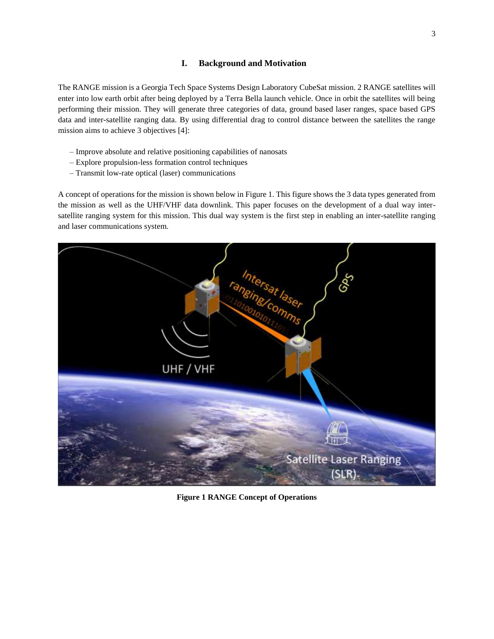The RANGE mission is a Georgia Tech Space Systems Design Laboratory CubeSat mission. 2 RANGE satellites will enter into low earth orbit after being deployed by a Terra Bella launch vehicle. Once in orbit the satellites will being performing their mission. They will generate three categories of data, ground based laser ranges, space based GPS data and inter-satellite ranging data. By using differential drag to control distance between the satellites the range mission aims to achieve 3 objectives [4]:

- Improve absolute and relative positioning capabilities of nanosats
- Explore propulsion-less formation control techniques
- Transmit low-rate optical (laser) communications

A concept of operations for the mission is shown below i[n Figure 1.](#page-2-0) This figure shows the 3 data types generated from the mission as well as the UHF/VHF data downlink. This paper focuses on the development of a dual way intersatellite ranging system for this mission. This dual way system is the first step in enabling an inter-satellite ranging and laser communications system.

<span id="page-2-0"></span>

**Figure 1 RANGE Concept of Operations**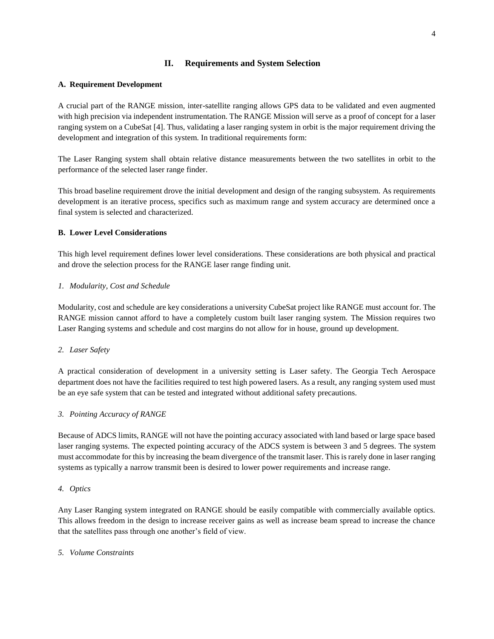## **II. Requirements and System Selection**

## **A. Requirement Development**

A crucial part of the RANGE mission, inter-satellite ranging allows GPS data to be validated and even augmented with high precision via independent instrumentation. The RANGE Mission will serve as a proof of concept for a laser ranging system on a CubeSat [4]. Thus, validating a laser ranging system in orbit is the major requirement driving the development and integration of this system. In traditional requirements form:

The Laser Ranging system shall obtain relative distance measurements between the two satellites in orbit to the performance of the selected laser range finder.

This broad baseline requirement drove the initial development and design of the ranging subsystem. As requirements development is an iterative process, specifics such as maximum range and system accuracy are determined once a final system is selected and characterized.

## **B. Lower Level Considerations**

This high level requirement defines lower level considerations. These considerations are both physical and practical and drove the selection process for the RANGE laser range finding unit.

#### *1. Modularity, Cost and Schedule*

Modularity, cost and schedule are key considerations a university CubeSat project like RANGE must account for. The RANGE mission cannot afford to have a completely custom built laser ranging system. The Mission requires two Laser Ranging systems and schedule and cost margins do not allow for in house, ground up development.

#### *2. Laser Safety*

A practical consideration of development in a university setting is Laser safety. The Georgia Tech Aerospace department does not have the facilities required to test high powered lasers. As a result, any ranging system used must be an eye safe system that can be tested and integrated without additional safety precautions.

#### *3. Pointing Accuracy of RANGE*

Because of ADCS limits, RANGE will not have the pointing accuracy associated with land based or large space based laser ranging systems. The expected pointing accuracy of the ADCS system is between 3 and 5 degrees. The system must accommodate for this by increasing the beam divergence of the transmit laser. This is rarely done in laser ranging systems as typically a narrow transmit been is desired to lower power requirements and increase range.

#### *4. Optics*

Any Laser Ranging system integrated on RANGE should be easily compatible with commercially available optics. This allows freedom in the design to increase receiver gains as well as increase beam spread to increase the chance that the satellites pass through one another's field of view.

#### *5. Volume Constraints*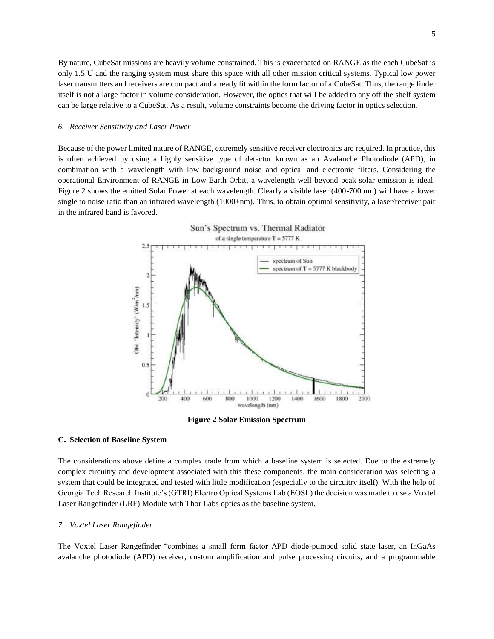By nature, CubeSat missions are heavily volume constrained. This is exacerbated on RANGE as the each CubeSat is only 1.5 U and the ranging system must share this space with all other mission critical systems. Typical low power laser transmitters and receivers are compact and already fit within the form factor of a CubeSat. Thus, the range finder itself is not a large factor in volume consideration. However, the optics that will be added to any off the shelf system can be large relative to a CubeSat. As a result, volume constraints become the driving factor in optics selection.

#### *6. Receiver Sensitivity and Laser Power*

Because of the power limited nature of RANGE, extremely sensitive receiver electronics are required. In practice, this is often achieved by using a highly sensitive type of detector known as an Avalanche Photodiode (APD), in combination with a wavelength with low background noise and optical and electronic filters. Considering the operational Environment of RANGE in Low Earth Orbit, a wavelength well beyond peak solar emission is ideal. [Figure 2](#page-4-0) shows the emitted Solar Power at each wavelength. Clearly a visible laser (400-700 nm) will have a lower single to noise ratio than an infrared wavelength (1000+nm). Thus, to obtain optimal sensitivity, a laser/receiver pair in the infrared band is favored.



**Figure 2 Solar Emission Spectrum**

## <span id="page-4-0"></span>**C. Selection of Baseline System**

The considerations above define a complex trade from which a baseline system is selected. Due to the extremely complex circuitry and development associated with this these components, the main consideration was selecting a system that could be integrated and tested with little modification (especially to the circuitry itself). With the help of Georgia Tech Research Institute's (GTRI) Electro Optical Systems Lab (EOSL) the decision was made to use a Voxtel Laser Rangefinder (LRF) Module with Thor Labs optics as the baseline system.

#### *7. Voxtel Laser Rangefinder*

The Voxtel Laser Rangefinder "combines a small form factor APD diode-pumped solid state laser, an InGaAs avalanche photodiode (APD) receiver, custom amplification and pulse processing circuits, and a programmable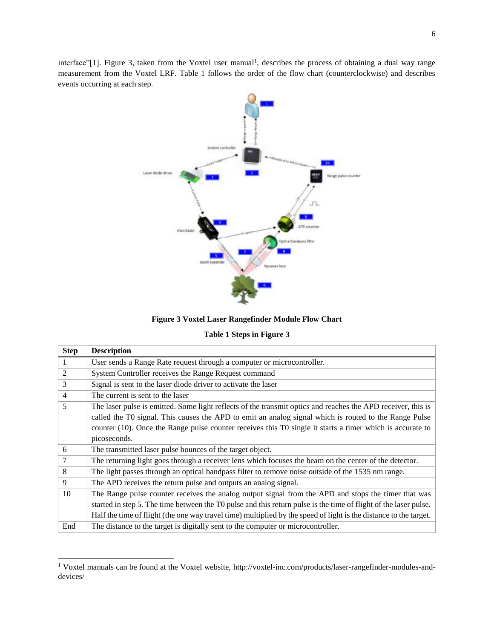interface"[1]. [Figure 3,](#page-5-0) taken from the Voxtel user manual<sup>1</sup>, describes the process of obtaining a dual way range measurement from the Voxtel LRF. [Table 1](#page-5-1) follows the order of the flow chart (counterclockwise) and describes events occurring at each step.



**Figure 3 Voxtel Laser Rangefinder Module Flow Chart**

**Table 1 Steps in [Figure 3](#page-5-0)**

<span id="page-5-1"></span><span id="page-5-0"></span>

| <b>Step</b>    | <b>Description</b>                                                                                                |
|----------------|-------------------------------------------------------------------------------------------------------------------|
| 1              | User sends a Range Rate request through a computer or microcontroller.                                            |
| 2              | System Controller receives the Range Request command                                                              |
| 3              | Signal is sent to the laser diode driver to activate the laser                                                    |
| $\overline{4}$ | The current is sent to the laser                                                                                  |
| 5              | The laser pulse is emitted. Some light reflects of the transmit optics and reaches the APD receiver, this is      |
|                | called the T0 signal. This causes the APD to emit an analog signal which is routed to the Range Pulse             |
|                | counter (10). Once the Range pulse counter receives this T0 single it starts a timer which is accurate to         |
|                | picoseconds.                                                                                                      |
| 6              | The transmitted laser pulse bounces of the target object.                                                         |
| $\overline{7}$ | The returning light goes through a receiver lens which focuses the beam on the center of the detector.            |
| 8              | The light passes through an optical bandpass filter to remove noise outside of the 1535 nm range.                 |
| 9              | The APD receives the return pulse and outputs an analog signal.                                                   |
| 10             | The Range pulse counter receives the analog output signal from the APD and stops the timer that was               |
|                | started in step 5. The time between the T0 pulse and this return pulse is the time of flight of the laser pulse.  |
|                | Half the time of flight (the one way travel time) multiplied by the speed of light is the distance to the target. |
| End            | The distance to the target is digitally sent to the computer or microcontroller.                                  |

<sup>1</sup> Voxtel manuals can be found at the Voxtel website, http://voxtel-inc.com/products/laser-rangefinder-modules-anddevices/

 $\overline{a}$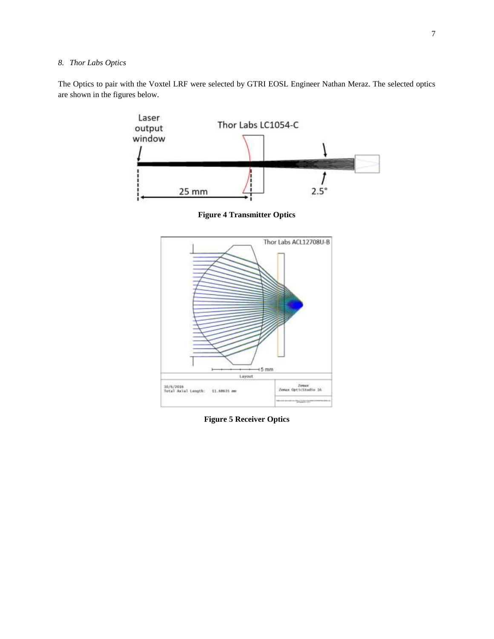# *8. Thor Labs Optics*

The Optics to pair with the Voxtel LRF were selected by GTRI EOSL Engineer Nathan Meraz. The selected optics are shown in the figures below.



**Figure 4 Transmitter Optics**



**Figure 5 Receiver Optics**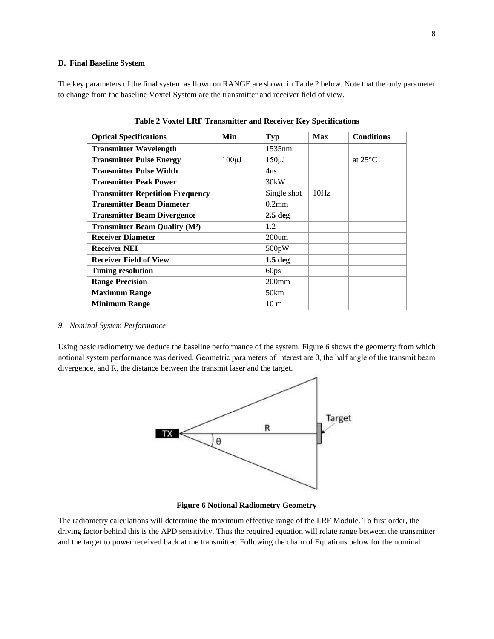## **D. Final Baseline System**

<span id="page-7-0"></span>The key parameters of the final system as flown on RANGE are shown i[n Table 2](#page-7-0) below. Note that the only parameter to change from the baseline Voxtel System are the transmitter and receiver field of view.

| <b>Optical Specifications</b>                   | Min         | <b>Typ</b>         | <b>Max</b> | <b>Conditions</b> |
|-------------------------------------------------|-------------|--------------------|------------|-------------------|
| <b>Transmitter Wavelength</b>                   |             | 1535nm             |            |                   |
| <b>Transmitter Pulse Energy</b>                 | $100 \mu J$ | $150 \mu J$        |            | at $25^{\circ}$ C |
| <b>Transmitter Pulse Width</b>                  |             | 4ns                |            |                   |
| <b>Transmitter Peak Power</b>                   |             | 30kW               |            |                   |
| <b>Transmitter Repetition Frequency</b>         |             | Single shot        | 10Hz       |                   |
| <b>Transmitter Beam Diameter</b>                |             | $0.2$ mm           |            |                   |
| <b>Transmitter Beam Divergence</b>              |             | 2.5 <sub>deg</sub> |            |                   |
| <b>Transmitter Beam Quality (M<sup>2</sup>)</b> |             | 1.2                |            |                   |
| <b>Receiver Diameter</b>                        |             | $200$ um           |            |                   |
| <b>Receiver NEI</b>                             |             | 500pW              |            |                   |
| <b>Receiver Field of View</b>                   |             | 1.5 <sub>deg</sub> |            |                   |
| <b>Timing resolution</b>                        |             | 60ps               |            |                   |
| <b>Range Precision</b>                          |             | $200$ mm           |            |                   |
| <b>Maximum Range</b>                            |             | 50km               |            |                   |
| <b>Minimum Range</b>                            |             | 10 <sub>m</sub>    |            |                   |

**Table 2 Voxtel LRF Transmitter and Receiver Key Specifications**

# *9. Nominal System Performance*

Using basic radiometry we deduce the baseline performance of the system. [Figure 6](#page-7-1) shows the geometry from which notional system performance was derived. Geometric parameters of interest are θ, the half angle of the transmit beam divergence, and R, the distance between the transmit laser and the target.



**Figure 6 Notional Radiometry Geometry**

<span id="page-7-1"></span>The radiometry calculations will determine the maximum effective range of the LRF Module. To first order, the driving factor behind this is the APD sensitivity. Thus the required equation will relate range between the transmitter and the target to power received back at the transmitter. Following the chain of Equations below for the nominal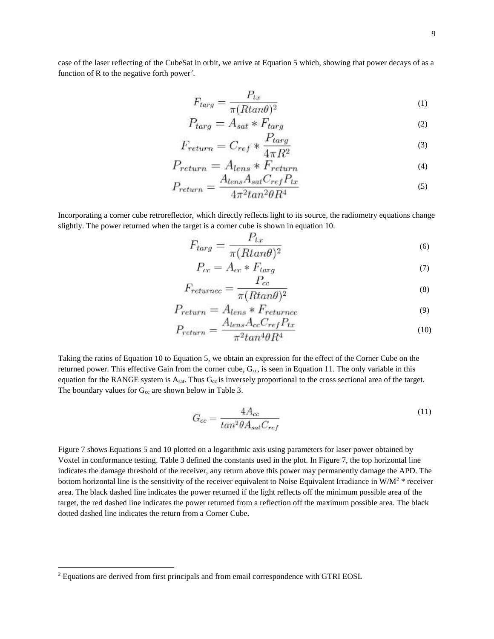case of the laser reflecting of the CubeSat in orbit, we arrive at Equation 5 which, showing that power decays of as a function of R to the negative forth power<sup>2</sup>.

$$
F_{targ} = \frac{P_{tx}}{\pi (R \tan \theta)^2} \tag{1}
$$

$$
P_{targ} = A_{sat} * F_{targ}
$$
\n<sup>(2)</sup>

$$
F_{return} = C_{ref} * \frac{F_{targ}}{4\pi R^2}
$$
\n(3)

$$
P_{return} = A_{lens} * F_{return}
$$
  

$$
A_{1} * A_{C} * P
$$
 (4)

$$
P_{return} = \frac{A_{lens}A_{sat}C_{ref}I_{tx}}{4\pi^2 \tan^2 \theta R^4}
$$
\n<sup>(5)</sup>

Incorporating a corner cube retroreflector, which directly reflects light to its source, the radiometry equations change slightly. The power returned when the target is a corner cube is shown in equation 10.

$$
F_{targ} = \frac{P_{tx}}{\pi (R \tan \theta)^2} \tag{6}
$$

$$
P_{cc} = A_{cc} * F_{large} \tag{7}
$$

$$
F_{returncc} = \frac{1}{\pi (R \tan \theta)^2}
$$
\n<sup>(8)</sup>

$$
P_{return} = A_{lens} * F_{returncc}
$$
\n<sup>(9)</sup>

$$
P_{return} = \frac{\Delta lens \Delta_{cc} \sigma_{ref} \mu_{tx}}{\pi^2 tan^4 \theta R^4}
$$
\n<sup>(10)</sup>

Taking the ratios of Equation 10 to Equation 5, we obtain an expression for the effect of the Corner Cube on the returned power. This effective Gain from the corner cube,  $G_{cc}$ , is seen in Equation 11. The only variable in this equation for the RANGE system is  $A_{sat}$ . Thus  $G_{cc}$  is inversely proportional to the cross sectional area of the target. The boundary values for  $G_{cc}$  are shown below in [Table 3.](#page-9-0)

$$
G_{cc} = \frac{4A_{cc}}{tan^2\theta A_{sat}C_{ref}}\tag{11}
$$

[Figure 7](#page-9-1) shows Equations 5 and 10 plotted on a logarithmic axis using parameters for laser power obtained by Voxtel in conformance testing. [Table 3](#page-9-0) defined the constants used in the plot. In [Figure 7,](#page-9-1) the top horizontal line indicates the damage threshold of the receiver, any return above this power may permanently damage the APD. The bottom horizontal line is the sensitivity of the receiver equivalent to Noise Equivalent Irradiance in  $W/M^2$  \* receiver area. The black dashed line indicates the power returned if the light reflects off the minimum possible area of the target, the red dashed line indicates the power returned from a reflection off the maximum possible area. The black dotted dashed line indicates the return from a Corner Cube.

l

<sup>&</sup>lt;sup>2</sup> Equations are derived from first principals and from email correspondence with GTRI EOSL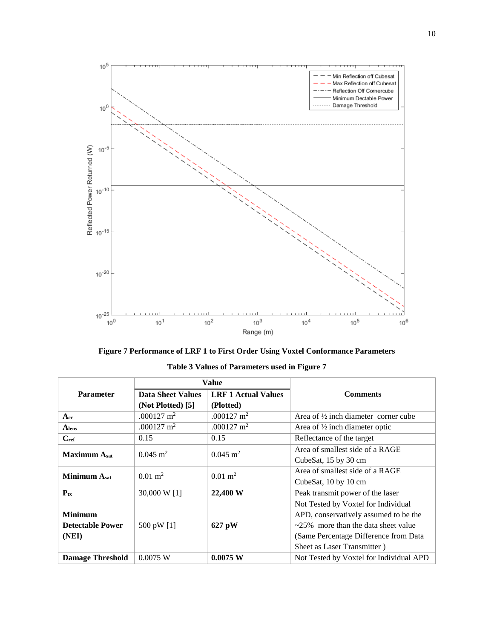



<span id="page-9-1"></span><span id="page-9-0"></span>

|                         | Value                                                  |                         |                                              |
|-------------------------|--------------------------------------------------------|-------------------------|----------------------------------------------|
| <b>Parameter</b>        | <b>LRF 1 Actual Values</b><br><b>Data Sheet Values</b> |                         | <b>Comments</b>                              |
|                         | (Not Plotted) [5]                                      | (Plotted)               |                                              |
| $\mathbf{A}$ cc         | .000127 $m2$                                           | .000127 $m2$            | Area of 1/2 inch diameter corner cube        |
| A <sub>lens</sub>       | $.000127 \text{ m}^2$                                  | .000127 $m2$            | Area of $\frac{1}{2}$ inch diameter optic    |
| $\mathbf{C}$ ref        | 0.15                                                   | 0.15                    | Reflectance of the target                    |
| <b>Maximum Asst</b>     | $0.045 \; \mathrm{m}^2$                                | $0.045 \; \mathrm{m}^2$ | Area of smallest side of a RAGE              |
|                         |                                                        |                         | CubeSat, 15 by 30 cm                         |
| <b>Minimum Asat</b>     | $0.01 \; \mathrm{m}^2$                                 | $0.01 \text{ m}^2$      | Area of smallest side of a RAGE              |
|                         |                                                        |                         | CubeSat, 10 by 10 cm                         |
| $P_{tx}$                | 30,000 W [1]                                           | 22,400 W                | Peak transmit power of the laser             |
|                         |                                                        |                         | Not Tested by Voxtel for Individual          |
| <b>Minimum</b>          |                                                        |                         | APD, conservatively assumed to be the        |
| <b>Detectable Power</b> | 500 pW [1]                                             | 627 pW                  | $\approx$ 25% more than the data sheet value |
| (NEI)                   |                                                        |                         | (Same Percentage Difference from Data        |
|                         |                                                        |                         | Sheet as Laser Transmitter)                  |
| <b>Damage Threshold</b> | 0.0075 W                                               | 0.0075 W                | Not Tested by Voxtel for Individual APD      |

**Table 3 Values of Parameters used in [Figure 7](#page-9-1)**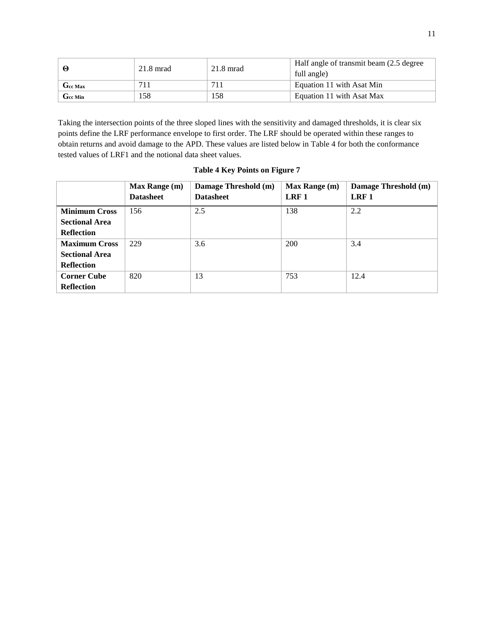|                      | $21.8 \text{ mrad}$ | $21.8$ mrad | Half angle of transmit beam (2.5 degree)<br>full angle) |
|----------------------|---------------------|-------------|---------------------------------------------------------|
| $G_{cc \text{ Max}}$ |                     |             | Equation 11 with Asat Min                               |
| Gee Min              | 158                 | 158         | Equation 11 with Asat Max                               |

Taking the intersection points of the three sloped lines with the sensitivity and damaged thresholds, it is clear six points define the LRF performance envelope to first order. The LRF should be operated within these ranges to obtain returns and avoid damage to the APD. These values are listed below in [Table 4](#page-10-0) for both the conformance tested values of LRF1 and the notional data sheet values.

| <b>Table 4 Key Points on Figure 7</b> |  |  |  |
|---------------------------------------|--|--|--|
|---------------------------------------|--|--|--|

<span id="page-10-0"></span>

|                       | Max Range (m)<br><b>Datasheet</b> | Damage Threshold (m)<br><b>Datasheet</b> | <b>Max Range (m)</b><br>LRF <sub>1</sub> | Damage Threshold (m)<br>LRF <sub>1</sub> |
|-----------------------|-----------------------------------|------------------------------------------|------------------------------------------|------------------------------------------|
| <b>Minimum Cross</b>  | 156                               | 2.5                                      | 138                                      | 2.2                                      |
| <b>Sectional Area</b> |                                   |                                          |                                          |                                          |
| <b>Reflection</b>     |                                   |                                          |                                          |                                          |
| <b>Maximum Cross</b>  | 229                               | 3.6                                      | 200                                      | 3.4                                      |
| <b>Sectional Area</b> |                                   |                                          |                                          |                                          |
| <b>Reflection</b>     |                                   |                                          |                                          |                                          |
| <b>Corner Cube</b>    | 820                               | 13                                       | 753                                      | 12.4                                     |
| <b>Reflection</b>     |                                   |                                          |                                          |                                          |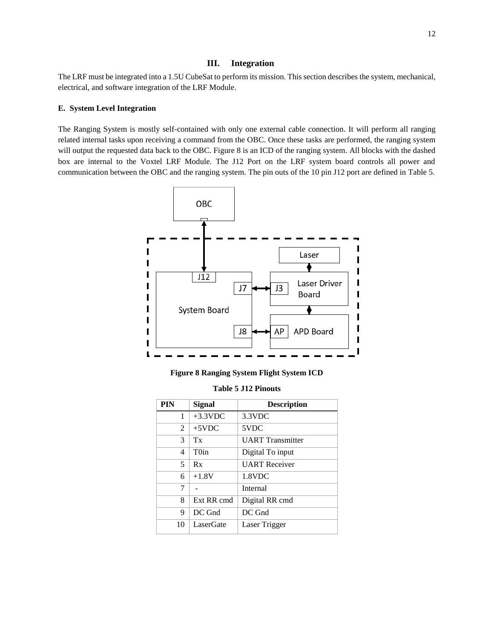#### **III. Integration**

The LRF must be integrated into a 1.5U CubeSat to perform its mission. This section describes the system, mechanical, electrical, and software integration of the LRF Module.

## **E. System Level Integration**

The Ranging System is mostly self-contained with only one external cable connection. It will perform all ranging related internal tasks upon receiving a command from the OBC. Once these tasks are performed, the ranging system will output the requested data back to the OBC. [Figure 8](#page-11-0) is an ICD of the ranging system. All blocks with the dashed box are internal to the Voxtel LRF Module. The J12 Port on the LRF system board controls all power and communication between the OBC and the ranging system. The pin outs of the 10 pin J12 port are defined in [Table 5.](#page-11-1)



**Figure 8 Ranging System Flight System ICD**

| <b>Table 5 J12 Pinouts</b> |  |  |  |
|----------------------------|--|--|--|
|                            |  |  |  |

<span id="page-11-1"></span><span id="page-11-0"></span>

| <b>PIN</b> | Signal            | <b>Description</b>      |
|------------|-------------------|-------------------------|
| 1          | $+3.3$ VDC        | $3.3$ VDC               |
| 2          | $+5VDC$           | 5VDC                    |
| 3          | Tx                | <b>UART</b> Transmitter |
| 4          | T <sub>0</sub> in | Digital To input        |
| 5          | Rx                | <b>UART</b> Receiver    |
| 6          | $+1.8V$           | 1.8VDC                  |
| 7          |                   | Internal                |
| 8          | Ext RR cmd        | Digital RR cmd          |
| 9          | DC Gnd            | DC Gnd                  |
| 10         | LaserGate         | Laser Trigger           |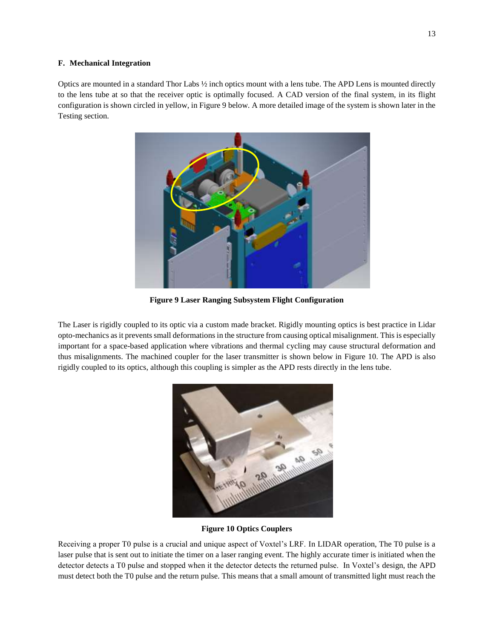## **F. Mechanical Integration**

Optics are mounted in a standard Thor Labs ½ inch optics mount with a lens tube. The APD Lens is mounted directly to the lens tube at so that the receiver optic is optimally focused. A CAD version of the final system, in its flight configuration is shown circled in yellow, in [Figure 9](#page-12-0) below. A more detailed image of the system is shown later in the Testing section.



**Figure 9 Laser Ranging Subsystem Flight Configuration**

<span id="page-12-0"></span>The Laser is rigidly coupled to its optic via a custom made bracket. Rigidly mounting optics is best practice in Lidar opto-mechanics as it prevents small deformations in the structure from causing optical misalignment. This is especially important for a space-based application where vibrations and thermal cycling may cause structural deformation and thus misalignments. The machined coupler for the laser transmitter is shown below in [Figure 10.](#page-12-1) The APD is also rigidly coupled to its optics, although this coupling is simpler as the APD rests directly in the lens tube.



## **Figure 10 Optics Couplers**

<span id="page-12-1"></span>Receiving a proper T0 pulse is a crucial and unique aspect of Voxtel's LRF. In LIDAR operation, The T0 pulse is a laser pulse that is sent out to initiate the timer on a laser ranging event. The highly accurate timer is initiated when the detector detects a T0 pulse and stopped when it the detector detects the returned pulse. In Voxtel's design, the APD must detect both the T0 pulse and the return pulse. This means that a small amount of transmitted light must reach the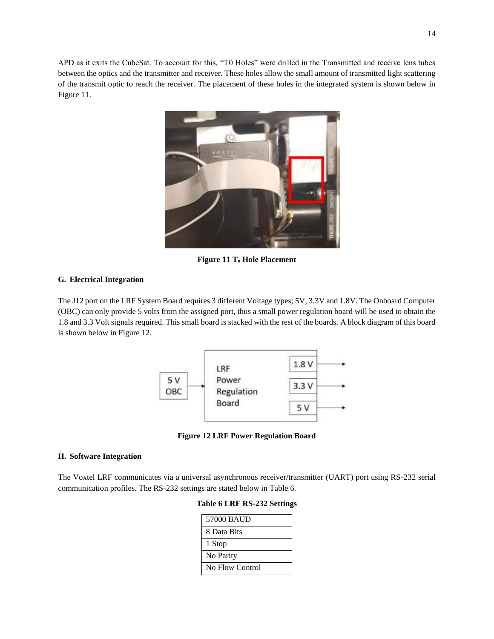APD as it exits the CubeSat. To account for this, "T0 Holes" were drilled in the Transmitted and receive lens tubes between the optics and the transmitter and receiver. These holes allow the small amount of transmitted light scattering of the transmit optic to reach the receiver. The placement of these holes in the integrated system is shown below in [Figure 11.](#page-13-0)



**Figure 11 T<sup>o</sup> Hole Placement** 

# <span id="page-13-0"></span>**G. Electrical Integration**

The J12 port on the LRF System Board requires 3 different Voltage types; 5V, 3.3V and 1.8V. The Onboard Computer (OBC) can only provide 5 volts from the assigned port, thus a small power regulation board will be used to obtain the 1.8 and 3.3 Volt signals required. This small board is stacked with the rest of the boards. A block diagram of this board is shown below in [Figure 12.](#page-13-1)



**Figure 12 LRF Power Regulation Board**

#### <span id="page-13-1"></span>**H. Software Integration**

<span id="page-13-2"></span>The Voxtel LRF communicates via a universal asynchronous receiver/transmitter (UART) port using RS-232 serial communication profiles. The RS-232 settings are stated below in [Table 6.](#page-13-2)

|  |  |  |  |  | <b>Table 6 LRF RS-232 Settings</b> |
|--|--|--|--|--|------------------------------------|
|--|--|--|--|--|------------------------------------|

| 57000 BAUD      |
|-----------------|
| 8 Data Bits     |
| 1 Stop          |
| No Parity       |
| No Flow Control |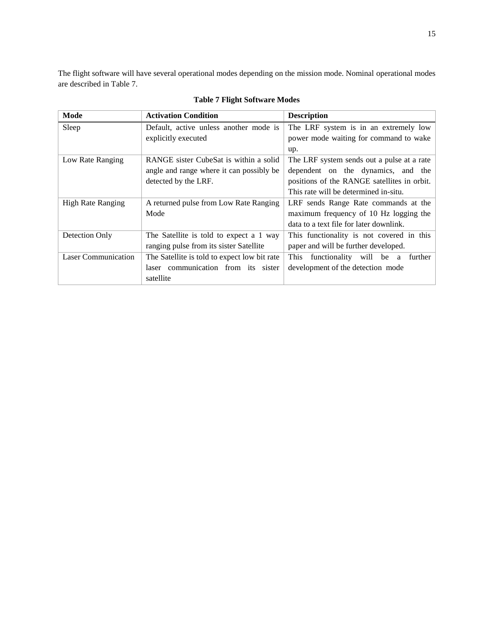The flight software will have several operational modes depending on the mission mode. Nominal operational modes are described in [Table 7.](#page-14-0)

<span id="page-14-0"></span>

| Mode                       | <b>Activation Condition</b>                  | <b>Description</b>                          |
|----------------------------|----------------------------------------------|---------------------------------------------|
| Sleep                      | Default, active unless another mode is       | The LRF system is in an extremely low       |
|                            | explicitly executed                          | power mode waiting for command to wake      |
|                            |                                              | up.                                         |
| Low Rate Ranging           | RANGE sister CubeSat is within a solid       | The LRF system sends out a pulse at a rate  |
|                            | angle and range where it can possibly be     | dependent on the dynamics, and the          |
|                            | detected by the LRF.                         | positions of the RANGE satellites in orbit. |
|                            |                                              | This rate will be determined in-situ.       |
| <b>High Rate Ranging</b>   | A returned pulse from Low Rate Ranging       | LRF sends Range Rate commands at the        |
|                            | Mode                                         | maximum frequency of 10 Hz logging the      |
|                            |                                              | data to a text file for later downlink.     |
| Detection Only             | The Satellite is told to expect a 1 way      | This functionality is not covered in this   |
|                            | ranging pulse from its sister Satellite      | paper and will be further developed.        |
| <b>Laser Communication</b> | The Satellite is told to expect low bit rate | This functionality will be a further        |
|                            | laser communication from its sister          | development of the detection mode           |
|                            | satellite                                    |                                             |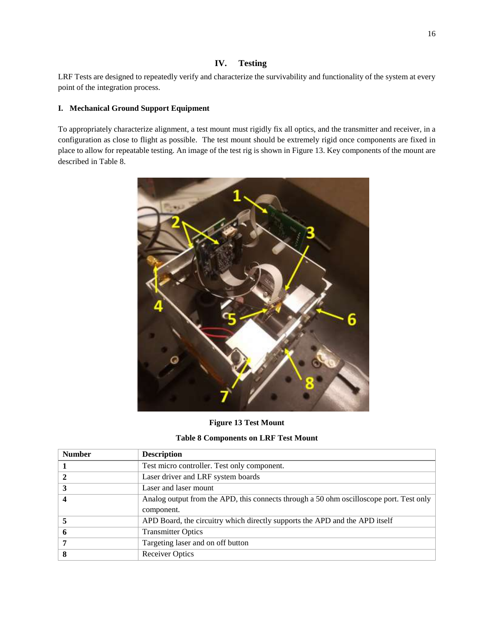# **IV. Testing**

LRF Tests are designed to repeatedly verify and characterize the survivability and functionality of the system at every point of the integration process.

## **I. Mechanical Ground Support Equipment**

To appropriately characterize alignment, a test mount must rigidly fix all optics, and the transmitter and receiver, in a configuration as close to flight as possible. The test mount should be extremely rigid once components are fixed in place to allow for repeatable testing. An image of the test rig is shown in [Figure 13.](#page-15-0) Key components of the mount are described in [Table 8.](#page-15-1)



**Figure 13 Test Mount**

**Table 8 Components on LRF Test Mount**

<span id="page-15-1"></span><span id="page-15-0"></span>

| <b>Number</b> | <b>Description</b>                                                                      |
|---------------|-----------------------------------------------------------------------------------------|
|               | Test micro controller. Test only component.                                             |
|               | Laser driver and LRF system boards                                                      |
|               | Laser and laser mount                                                                   |
|               | Analog output from the APD, this connects through a 50 ohm oscilloscope port. Test only |
|               | component.                                                                              |
|               | APD Board, the circuitry which directly supports the APD and the APD itself             |
|               | <b>Transmitter Optics</b>                                                               |
|               | Targeting laser and on off button                                                       |
| 8             | <b>Receiver Optics</b>                                                                  |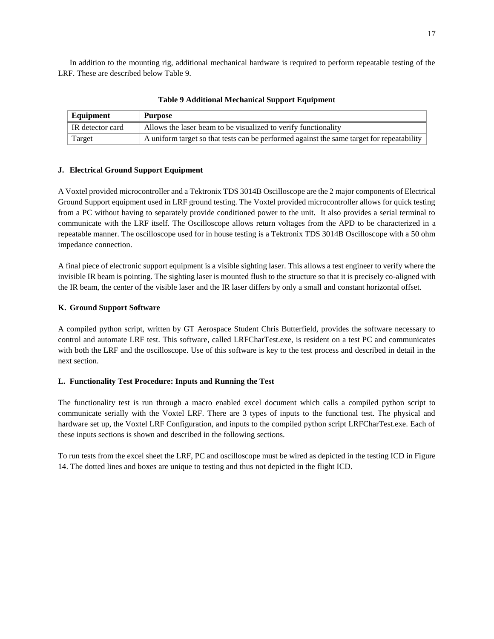In addition to the mounting rig, additional mechanical hardware is required to perform repeatable testing of the LRF. These are described below [Table 9.](#page-16-0)

<span id="page-16-0"></span>

| Equipment        | Purpose                                                                                   |
|------------------|-------------------------------------------------------------------------------------------|
| IR detector card | Allows the laser beam to be visualized to verify functionality                            |
| Target           | A uniform target so that tests can be performed against the same target for repeatability |

**Table 9 Additional Mechanical Support Equipment** 

## **J. Electrical Ground Support Equipment**

A Voxtel provided microcontroller and a Tektronix TDS 3014B Oscilloscope are the 2 major components of Electrical Ground Support equipment used in LRF ground testing. The Voxtel provided microcontroller allows for quick testing from a PC without having to separately provide conditioned power to the unit. It also provides a serial terminal to communicate with the LRF itself. The Oscilloscope allows return voltages from the APD to be characterized in a repeatable manner. The oscilloscope used for in house testing is a Tektronix TDS 3014B Oscilloscope with a 50 ohm impedance connection.

A final piece of electronic support equipment is a visible sighting laser. This allows a test engineer to verify where the invisible IR beam is pointing. The sighting laser is mounted flush to the structure so that it is precisely co-aligned with the IR beam, the center of the visible laser and the IR laser differs by only a small and constant horizontal offset.

# **K. Ground Support Software**

A compiled python script, written by GT Aerospace Student Chris Butterfield, provides the software necessary to control and automate LRF test. This software, called LRFCharTest.exe, is resident on a test PC and communicates with both the LRF and the oscilloscope. Use of this software is key to the test process and described in detail in the next section.

# <span id="page-16-1"></span>**L. Functionality Test Procedure: Inputs and Running the Test**

The functionality test is run through a macro enabled excel document which calls a compiled python script to communicate serially with the Voxtel LRF. There are 3 types of inputs to the functional test. The physical and hardware set up, the Voxtel LRF Configuration, and inputs to the compiled python script LRFCharTest.exe. Each of these inputs sections is shown and described in the following sections.

To run tests from the excel sheet the LRF, PC and oscilloscope must be wired as depicted in the testing ICD in [Figure](#page-17-0)  [14.](#page-17-0) The dotted lines and boxes are unique to testing and thus not depicted in the flight ICD.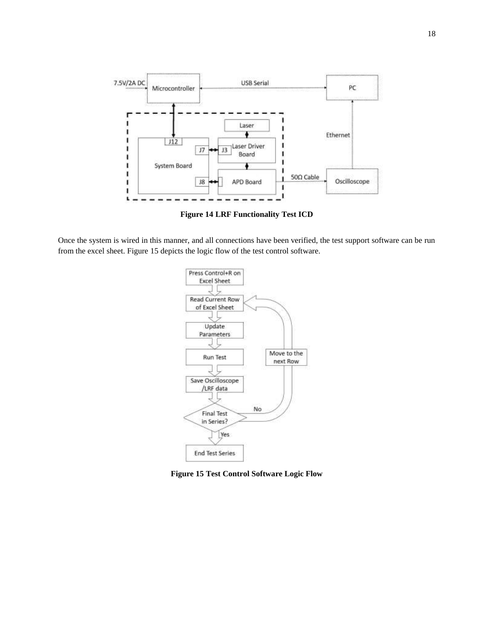

**Figure 14 LRF Functionality Test ICD**

<span id="page-17-0"></span>Once the system is wired in this manner, and all connections have been verified, the test support software can be run from the excel sheet. [Figure 15](#page-17-1) depicts the logic flow of the test control software.



<span id="page-17-1"></span>**Figure 15 Test Control Software Logic Flow**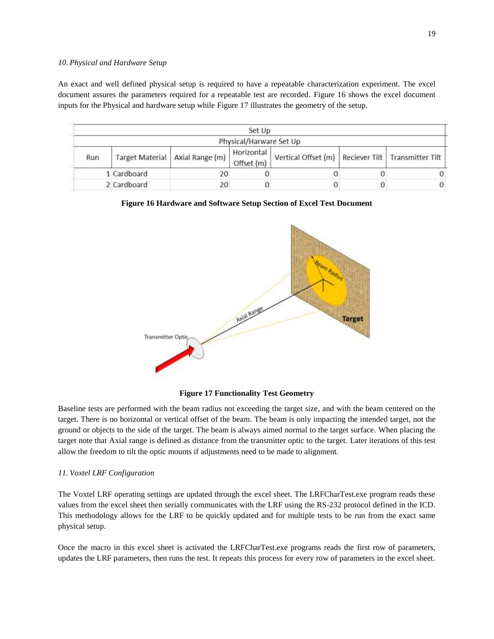#### *10. Physical and Hardware Setup*

An exact and well defined physical setup is required to have a repeatable characterization experiment. The excel document assures the parameters required for a repeatable test are recorded. [Figure 16](#page-18-0) shows the excel document inputs for the Physical and hardware setup while [Figure 17](#page-18-1) illustrates the geometry of the setup.

|     |                 |                 | Set Up                   |                                                        |   |          |
|-----|-----------------|-----------------|--------------------------|--------------------------------------------------------|---|----------|
|     |                 |                 | Physical/Harware Set Up  |                                                        |   |          |
| Run | Target Material | Axial Range (m) | Horizontal<br>Offset (m) | Vertical Offset (m)   Reciever Tilt   Transmitter Tilt |   |          |
|     | 1 Cardboard     | 20              |                          |                                                        |   |          |
|     | 2 Cardboard     | 20              |                          |                                                        | 0 | $\Omega$ |

<span id="page-18-0"></span>**Figure 16 Hardware and Software Setup Section of Excel Test Document**



#### **Figure 17 Functionality Test Geometry**

<span id="page-18-1"></span>Baseline tests are performed with the beam radius not exceeding the target size, and with the beam centered on the target. There is no horizontal or vertical offset of the beam. The beam is only impacting the intended target, not the ground or objects to the side of the target. The beam is always aimed normal to the target surface. When placing the target note that Axial range is defined as distance from the transmitter optic to the target. Later iterations of this test allow the freedom to tilt the optic mounts if adjustments need to be made to alignment.

#### *11. Voxtel LRF Configuration*

The Voxtel LRF operating settings are updated through the excel sheet. The LRFCharTest.exe program reads these values from the excel sheet then serially communicates with the LRF using the RS-232 protocol defined in the ICD. This methodology allows for the LRF to be quickly updated and for multiple tests to be run from the exact same physical setup.

Once the macro in this excel sheet is activated the LRFCharTest.exe programs reads the first row of parameters, updates the LRF parameters, then runs the test. It repeats this process for every row of parameters in the excel sheet.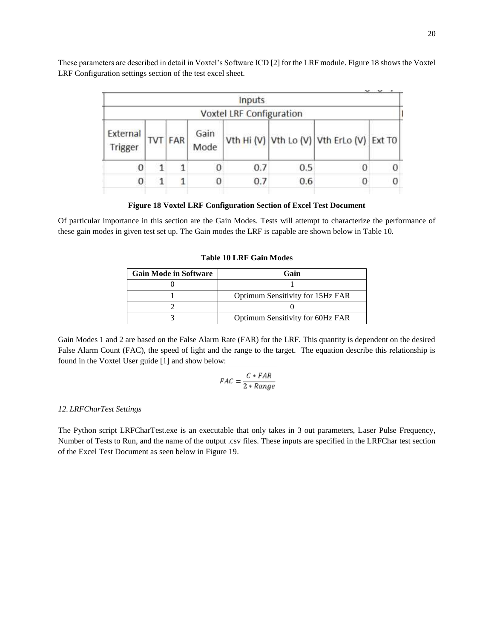|                     |   |                |              | Inputs                   |     |                                           |  |
|---------------------|---|----------------|--------------|--------------------------|-----|-------------------------------------------|--|
|                     |   |                |              | Voxtel LRF Configuration |     |                                           |  |
| External<br>Trigger |   | <b>TVT FAR</b> | Gain<br>Mode |                          |     | Vth Hi (V) Vth Lo (V) Vth ErLo (V) Ext T0 |  |
|                     | 1 |                |              | 0.7                      | 0.5 |                                           |  |
| 0                   | 1 |                | 0            | 0.7                      | 0.6 |                                           |  |

These parameters are described in detail in Voxtel's Software ICD [2] for the LRF module. [Figure 18](#page-19-0) shows the Voxtel LRF Configuration settings section of the test excel sheet.

## **Figure 18 Voxtel LRF Configuration Section of Excel Test Document**

<span id="page-19-1"></span><span id="page-19-0"></span>Of particular importance in this section are the Gain Modes. Tests will attempt to characterize the performance of these gain modes in given test set up. The Gain modes the LRF is capable are shown below in [Table 10.](#page-19-1)

## **Table 10 LRF Gain Modes**

| <b>Gain Mode in Software</b> | Gain                             |
|------------------------------|----------------------------------|
|                              |                                  |
|                              | Optimum Sensitivity for 15Hz FAR |
|                              |                                  |
|                              | Optimum Sensitivity for 60Hz FAR |

Gain Modes 1 and 2 are based on the False Alarm Rate (FAR) for the LRF. This quantity is dependent on the desired False Alarm Count (FAC), the speed of light and the range to the target. The equation describe this relationship is found in the Voxtel User guide [1] and show below:

$$
FAC = \frac{C * FAR}{2 * Range}
$$

## *12. LRFCharTest Settings*

The Python script LRFCharTest.exe is an executable that only takes in 3 out parameters, Laser Pulse Frequency, Number of Tests to Run, and the name of the output .csv files. These inputs are specified in the LRFChar test section of the Excel Test Document as seen below in [Figure 19.](#page-20-0)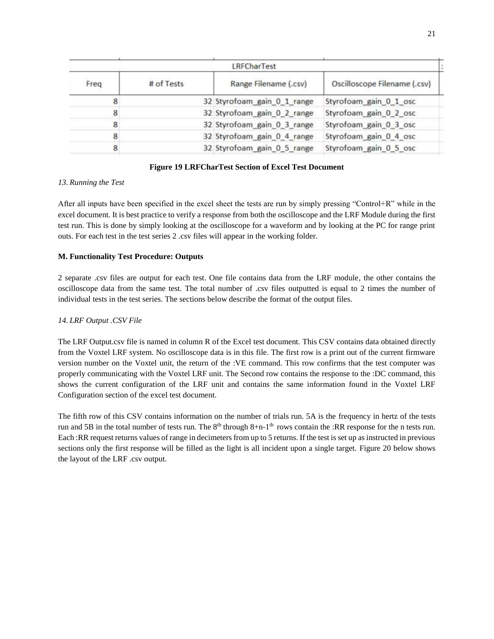|      |            | LRFCharTest                 |                              |  |
|------|------------|-----------------------------|------------------------------|--|
| Freq | # of Tests | Range Filename (.csv)       | Oscilloscope Filename (.csv) |  |
|      |            | 32 Styrofoam_gain_0_1_range | Styrofoam_gain_0_1_osc       |  |
| 8    |            | 32 Styrofoam_gain_0_2_range | Styrofoam_gain_0_2_osc       |  |
| 8    |            | 32 Styrofoam_gain_0_3_range | Styrofoam_gain_0_3_osc       |  |
| 8    |            | 32 Styrofoam_gain_0_4_range | Styrofoam_gain_0_4_osc       |  |
| 8    |            | 32 Styrofoam_gain_0_5_range | Styrofoam_gain_0_5_osc       |  |
|      |            |                             |                              |  |

## **Figure 19 LRFCharTest Section of Excel Test Document**

## <span id="page-20-0"></span>*13. Running the Test*

After all inputs have been specified in the excel sheet the tests are run by simply pressing "Control+R" while in the excel document. It is best practice to verify a response from both the oscilloscope and the LRF Module during the first test run. This is done by simply looking at the oscilloscope for a waveform and by looking at the PC for range print outs. For each test in the test series 2 .csv files will appear in the working folder.

## **M. Functionality Test Procedure: Outputs**

2 separate .csv files are output for each test. One file contains data from the LRF module, the other contains the oscilloscope data from the same test. The total number of .csv files outputted is equal to 2 times the number of individual tests in the test series. The sections below describe the format of the output files.

## <span id="page-20-1"></span>*14. LRF Output .CSV File*

The LRF Output.csv file is named in column R of the Excel test document. This CSV contains data obtained directly from the Voxtel LRF system. No oscilloscope data is in this file. The first row is a print out of the current firmware version number on the Voxtel unit, the return of the :VE command. This row confirms that the test computer was properly communicating with the Voxtel LRF unit. The Second row contains the response to the :DC command, this shows the current configuration of the LRF unit and contains the same information found in the Voxtel LRF Configuration section of the excel test document.

The fifth row of this CSV contains information on the number of trials run. 5A is the frequency in hertz of the tests run and 5B in the total number of tests run. The  $8<sup>th</sup>$  through  $8+n-1<sup>th</sup>$  rows contain the :RR response for the n tests run. Each :RR request returns values of range in decimeters from up to 5 returns. If the test is set up as instructed in previous sections only the first response will be filled as the light is all incident upon a single target. [Figure 20](#page-21-0) below shows the layout of the LRF .csv output.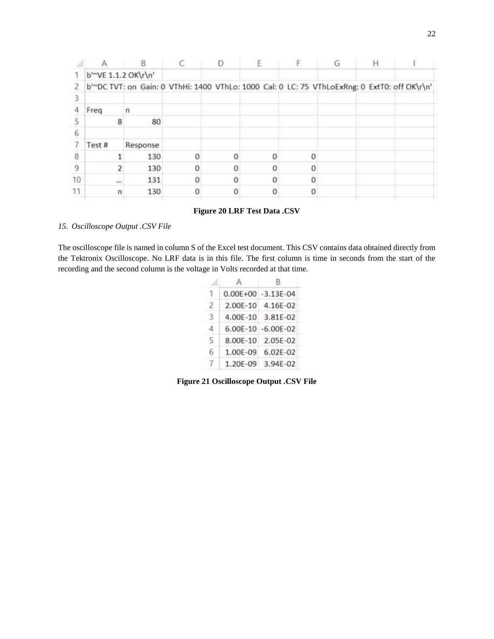|    |                                  |                                                                                              |  | E | G | Н |  |
|----|----------------------------------|----------------------------------------------------------------------------------------------|--|---|---|---|--|
|    | b <sup>1~</sup> VE 1.1.2 OK\r\n' |                                                                                              |  |   |   |   |  |
| 2  |                                  | b'~DC TVT: on Gain: 0 VThHi: 1400 VThLo: 1000 Cal: 0 LC: 75 VThLoExRng: 0 ExtT0: off OK\r\n' |  |   |   |   |  |
|    |                                  |                                                                                              |  |   |   |   |  |
| 4  | Freq                             |                                                                                              |  |   |   |   |  |
|    | 8                                | 80                                                                                           |  |   |   |   |  |
| 6  |                                  |                                                                                              |  |   |   |   |  |
|    | Test#                            | Response                                                                                     |  |   |   |   |  |
| 8  |                                  | 130                                                                                          |  |   |   |   |  |
| 9  |                                  | 130                                                                                          |  |   |   |   |  |
| 10 | $\frac{1}{2}$                    | 131                                                                                          |  |   |   |   |  |
|    | n                                | 130                                                                                          |  |   |   |   |  |
|    |                                  |                                                                                              |  |   |   |   |  |

## **Figure 20 LRF Test Data .CSV**

# <span id="page-21-1"></span><span id="page-21-0"></span>*15. Oscilloscope Output .CSV File*

The oscilloscope file is named in column S of the Excel test document. This CSV contains data obtained directly from the Tektronix Oscilloscope. No LRF data is in this file. The first column is time in seconds from the start of the recording and the second column is the voltage in Volts recorded at that time.

|   | $0.00E + 00$ | $-3.13F - 04$ |
|---|--------------|---------------|
| 2 | 2.00E-10     | 4.16E-02      |
| З | 4.00E-10     | 3.81E-02      |
| 4 | 6.00E-10     | $-6.00E - 02$ |
| 5 | 8.00E-10     | 2.05E-02      |
| 6 | 1.00E-09     | 6.02E-02      |
|   | 1.20E-09     | 3.94E-02      |

**Figure 21 Oscilloscope Output .CSV File**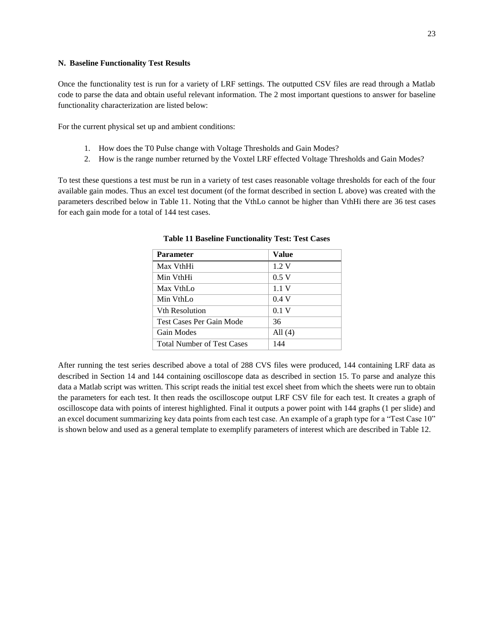#### **N. Baseline Functionality Test Results**

Once the functionality test is run for a variety of LRF settings. The outputted CSV files are read through a Matlab code to parse the data and obtain useful relevant information. The 2 most important questions to answer for baseline functionality characterization are listed below:

For the current physical set up and ambient conditions:

- 1. How does the T0 Pulse change with Voltage Thresholds and Gain Modes?
- 2. How is the range number returned by the Voxtel LRF effected Voltage Thresholds and Gain Modes?

<span id="page-22-0"></span>To test these questions a test must be run in a variety of test cases reasonable voltage thresholds for each of the four available gain modes. Thus an excel test document (of the format described in section [L](#page-16-1) [above\)](#page-16-1) was created with the parameters described below in [Table 11.](#page-22-0) Noting that the VthLo cannot be higher than VthHi there are 36 test cases for each gain mode for a total of 144 test cases.

| <b>Parameter</b>                  | <b>Value</b> |
|-----------------------------------|--------------|
| Max VthHi                         | 1.2V         |
| Min VthHi                         | 0.5V         |
| Max VthLo                         | 1.1V         |
| Min VthLo                         | 0.4V         |
| <b>Vth Resolution</b>             | 0.1 V        |
| <b>Test Cases Per Gain Mode</b>   | 36           |
| Gain Modes                        | All $(4)$    |
| <b>Total Number of Test Cases</b> | 144          |

**Table 11 Baseline Functionality Test: Test Cases**

After running the test series described above a total of 288 CVS files were produced, 144 containing LRF data as described in Section [14](#page-20-1) and 144 containing oscilloscope data as described in section [15.](#page-21-1) To parse and analyze this data a Matlab script was written. This script reads the initial test excel sheet from which the sheets were run to obtain the parameters for each test. It then reads the oscilloscope output LRF CSV file for each test. It creates a graph of oscilloscope data with points of interest highlighted. Final it outputs a power point with 144 graphs (1 per slide) and an excel document summarizing key data points from each test case. An example of a graph type for a "Test Case 10" is shown below and used as a general template to exemplify parameters of interest which are described in [Table 12.](#page-23-0)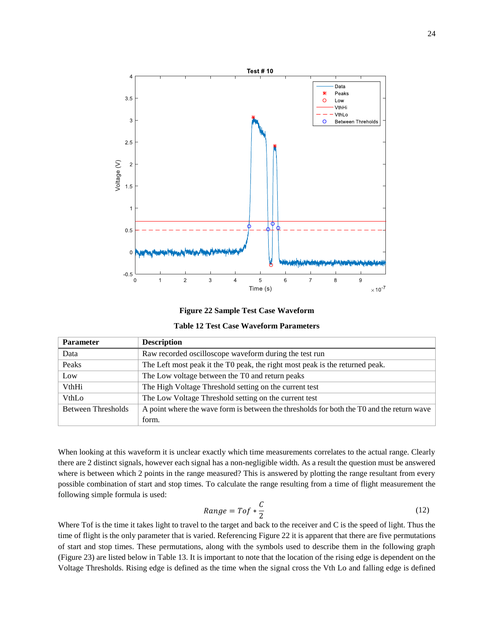

**Figure 22 Sample Test Case Waveform**

| <b>Table 12 Test Case Waveform Parameters</b> |  |  |  |
|-----------------------------------------------|--|--|--|
|-----------------------------------------------|--|--|--|

<span id="page-23-1"></span><span id="page-23-0"></span>

| <b>Parameter</b>          | <b>Description</b>                                                                        |
|---------------------------|-------------------------------------------------------------------------------------------|
| Data                      | Raw recorded oscilloscope waveform during the test run                                    |
| Peaks                     | The Left most peak it the T0 peak, the right most peak is the returned peak.              |
| Low                       | The Low voltage between the T0 and return peaks                                           |
| VthHi                     | The High Voltage Threshold setting on the current test                                    |
| VthLo                     | The Low Voltage Threshold setting on the current test                                     |
| <b>Between Thresholds</b> | A point where the wave form is between the thresholds for both the TO and the return wave |
|                           | form.                                                                                     |

When looking at this waveform it is unclear exactly which time measurements correlates to the actual range. Clearly there are 2 distinct signals, however each signal has a non-negligible width. As a result the question must be answered where is between which 2 points in the range measured? This is answered by plotting the range resultant from every possible combination of start and stop times. To calculate the range resulting from a time of flight measurement the following simple formula is used:

$$
Range = Tof * \frac{C}{2}
$$
 (12)

Where Tof is the time it takes light to travel to the target and back to the receiver and C is the speed of light. Thus the time of flight is the only parameter that is varied. Referencin[g Figure 22](#page-23-1) it is apparent that there are five permutations of start and stop times. These permutations, along with the symbols used to describe them in the following graph [\(Figure 23\)](#page-24-0) are listed below in [Table 13.](#page-24-1) It is important to note that the location of the rising edge is dependent on the Voltage Thresholds. Rising edge is defined as the time when the signal cross the Vth Lo and falling edge is defined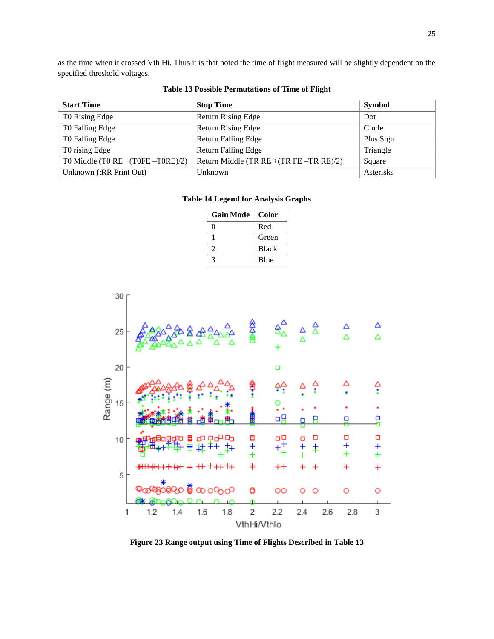as the time when it crossed Vth Hi. Thus it is that noted the time of flight measured will be slightly dependent on the specified threshold voltages.

<span id="page-24-2"></span><span id="page-24-1"></span>

| <b>Start Time</b>                      | <b>Stop Time</b>                           | <b>Symbol</b> |
|----------------------------------------|--------------------------------------------|---------------|
| T0 Rising Edge                         | <b>Return Rising Edge</b>                  | Dot           |
| T0 Falling Edge                        | <b>Return Rising Edge</b>                  | Circle        |
| T0 Falling Edge                        | <b>Return Falling Edge</b>                 | Plus Sign     |
| T0 rising Edge                         | <b>Return Falling Edge</b>                 | Triangle      |
| T0 Middle (T0 RE + $(T0FE - T0RE)/2$ ) | Return Middle (TR RE $+(TR FE - TR RE)/2)$ | Square        |
| Unknown (:RR Print Out)                | Unknown                                    | Asterisks     |

# **Table 13 Possible Permutations of Time of Flight**

## **Table 14 Legend for Analysis Graphs**

| <b>Gain Mode</b>            | Color        |
|-----------------------------|--------------|
| $\mathbf{\Omega}$           | Red          |
|                             | Green        |
| $\mathcal{D}_{\mathcal{A}}$ | <b>Black</b> |
| κ                           | <b>Blue</b>  |

![](_page_24_Figure_5.jpeg)

<span id="page-24-0"></span>**Figure 23 Range output using Time of Flights Described in [Table 13](#page-24-1)**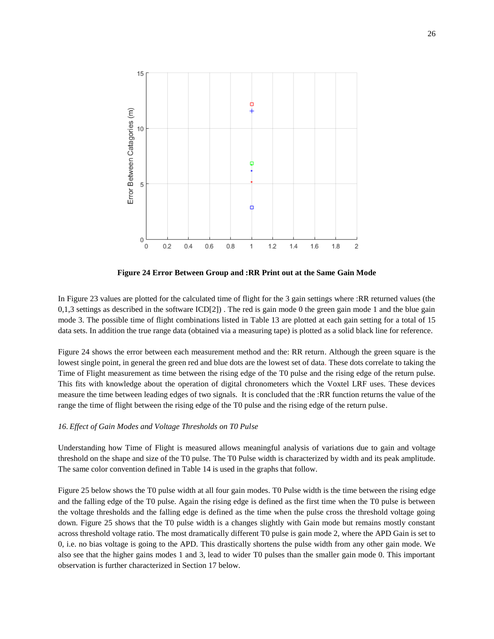![](_page_25_Figure_0.jpeg)

**Figure 24 Error Between Group and :RR Print out at the Same Gain Mode** 

<span id="page-25-0"></span>In [Figure 23](#page-24-0) values are plotted for the calculated time of flight for the 3 gain settings where :RR returned values (the  $0,1,3$  settings as described in the software  $ICD[2]$ ). The red is gain mode 0 the green gain mode 1 and the blue gain mode 3. The possible time of flight combinations listed in [Table 13](#page-24-1) are plotted at each gain setting for a total of 15 data sets. In addition the true range data (obtained via a measuring tape) is plotted as a solid black line for reference.

[Figure 24](#page-25-0) shows the error between each measurement method and the: RR return. Although the green square is the lowest single point, in general the green red and blue dots are the lowest set of data. These dots correlate to taking the Time of Flight measurement as time between the rising edge of the T0 pulse and the rising edge of the return pulse. This fits with knowledge about the operation of digital chronometers which the Voxtel LRF uses. These devices measure the time between leading edges of two signals. It is concluded that the :RR function returns the value of the range the time of flight between the rising edge of the T0 pulse and the rising edge of the return pulse.

## *16. Effect of Gain Modes and Voltage Thresholds on T0 Pulse*

Understanding how Time of Flight is measured allows meaningful analysis of variations due to gain and voltage threshold on the shape and size of the T0 pulse. The T0 Pulse width is characterized by width and its peak amplitude. The same color convention defined in [Table 14](#page-24-2) is used in the graphs that follow.

[Figure 25](#page-26-0) below shows the T0 pulse width at all four gain modes. T0 Pulse width is the time between the rising edge and the falling edge of the T0 pulse. Again the rising edge is defined as the first time when the T0 pulse is between the voltage thresholds and the falling edge is defined as the time when the pulse cross the threshold voltage going down. [Figure 25](#page-26-0) shows that the T0 pulse width is a changes slightly with Gain mode but remains mostly constant across threshold voltage ratio. The most dramatically different T0 pulse is gain mode 2, where the APD Gain is set to 0, i.e. no bias voltage is going to the APD. This drastically shortens the pulse width from any other gain mode. We also see that the higher gains modes 1 and 3, lead to wider T0 pulses than the smaller gain mode 0. This important observation is further characterized in Sectio[n 17 below.](#page-27-0)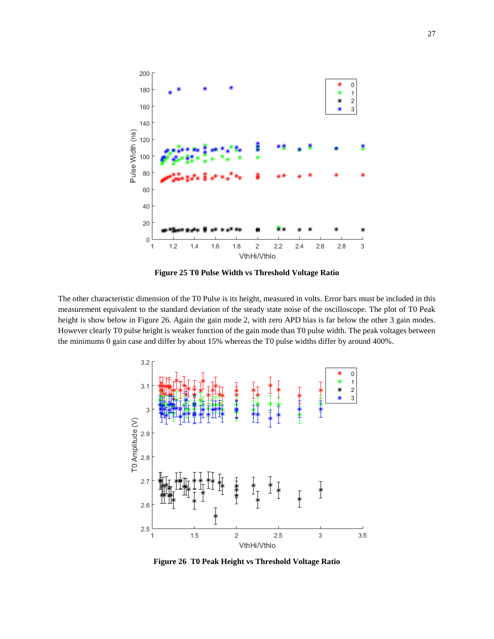![](_page_26_Figure_0.jpeg)

**Figure 25 T0 Pulse Width vs Threshold Voltage Ratio**

<span id="page-26-0"></span>The other characteristic dimension of the T0 Pulse is its height, measured in volts. Error bars must be included in this measurement equivalent to the standard deviation of the steady state noise of the oscilloscope. The plot of T0 Peak height is show below in [Figure 26.](#page-26-1) Again the gain mode 2, with zero APD bias is far below the other 3 gain modes. However clearly T0 pulse height is weaker function of the gain mode than T0 pulse width. The peak voltages between the minimums 0 gain case and differ by about 15% whereas the T0 pulse widths differ by around 400%.

![](_page_26_Figure_3.jpeg)

<span id="page-26-1"></span>**Figure 26 T0 Peak Height vs Threshold Voltage Ratio**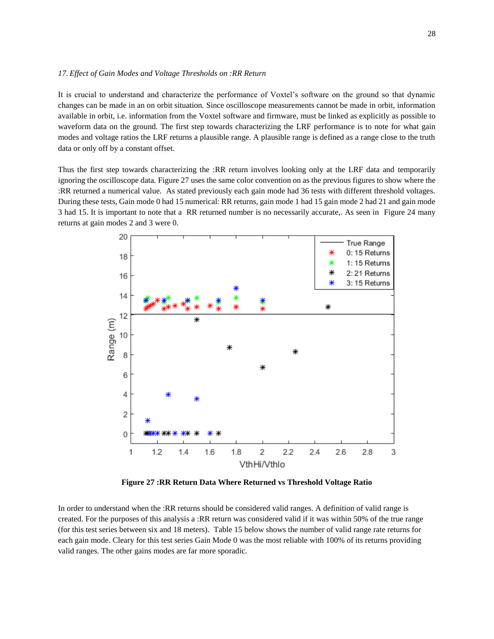<span id="page-27-0"></span>It is crucial to understand and characterize the performance of Voxtel's software on the ground so that dynamic changes can be made in an on orbit situation. Since oscilloscope measurements cannot be made in orbit, information available in orbit, i.e. information from the Voxtel software and firmware, must be linked as explicitly as possible to waveform data on the ground. The first step towards characterizing the LRF performance is to note for what gain modes and voltage ratios the LRF returns a plausible range. A plausible range is defined as a range close to the truth data or only off by a constant offset.

Thus the first step towards characterizing the :RR return involves looking only at the LRF data and temporarily ignoring the oscilloscope data. [Figure 27](#page-27-1) uses the same color convention on as the previous figures to show where the :RR returned a numerical value. As stated previously each gain mode had 36 tests with different threshold voltages. During these tests, Gain mode 0 had 15 numerical: RR returns, gain mode 1 had 15 gain mode 2 had 21 and gain mode 3 had 15. It is important to note that a RR returned number is no necessarily accurate,. As seen in [Figure 24](#page-25-0) many returns at gain modes 2 and 3 were 0.

![](_page_27_Figure_3.jpeg)

**Figure 27 :RR Return Data Where Returned vs Threshold Voltage Ratio**

<span id="page-27-1"></span>In order to understand when the :RR returns should be considered valid ranges. A definition of valid range is created. For the purposes of this analysis a :RR return was considered valid if it was within 50% of the true range (for this test series between six and 18 meters). [Table 15](#page-28-0) below shows the number of valid range rate returns for each gain mode. Cleary for this test series Gain Mode 0 was the most reliable with 100% of its returns providing valid ranges. The other gains modes are far more sporadic.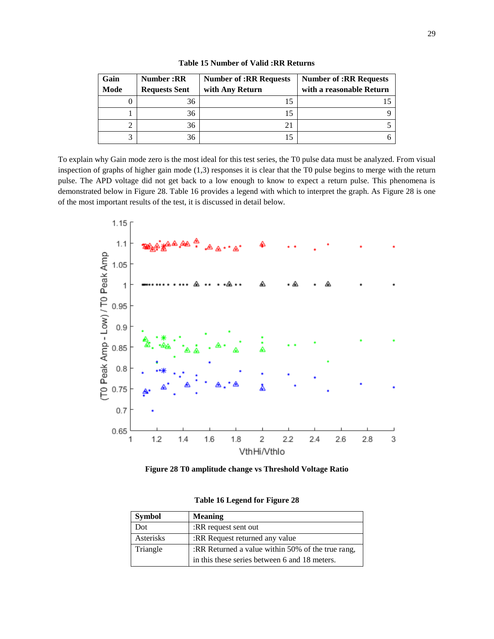<span id="page-28-0"></span>

| Gain | <b>Number:RR</b>     | <b>Number of :RR Requests</b> | <b>Number of :RR Requests</b> |
|------|----------------------|-------------------------------|-------------------------------|
| Mode | <b>Requests Sent</b> | with Any Return               | with a reasonable Return      |
|      | 36                   | 15                            |                               |
|      | 36                   | 15                            |                               |
| 2    | 36                   |                               |                               |
| 3    | 36                   |                               |                               |

**Table 15 Number of Valid :RR Returns**

To explain why Gain mode zero is the most ideal for this test series, the T0 pulse data must be analyzed. From visual inspection of graphs of higher gain mode (1,3) responses it is clear that the T0 pulse begins to merge with the return pulse. The APD voltage did not get back to a low enough to know to expect a return pulse. This phenomena is demonstrated below in [Figure 28.](#page-28-1) [Table 16](#page-28-2) provides a legend with which to interpret the graph. As [Figure 28](#page-28-1) is one of the most important results of the test, it is discussed in detail below.

![](_page_28_Figure_3.jpeg)

<span id="page-28-1"></span>![](_page_28_Figure_4.jpeg)

<span id="page-28-2"></span>

| <b>Symbol</b> | <b>Meaning</b>                                    |
|---------------|---------------------------------------------------|
| Dot           | :RR request sent out                              |
| Asterisks     | :RR Request returned any value                    |
| Triangle      | :RR Returned a value within 50% of the true rang, |
|               | in this these series between 6 and 18 meters.     |

**Table 16 Legend for [Figure 28](#page-28-1)**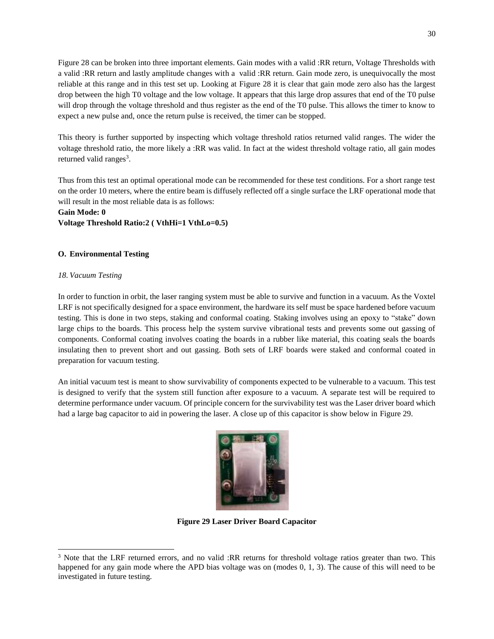[Figure 28](#page-28-1) can be broken into three important elements. Gain modes with a valid :RR return, Voltage Thresholds with a valid :RR return and lastly amplitude changes with a valid :RR return. Gain mode zero, is unequivocally the most reliable at this range and in this test set up. Looking at [Figure 28](#page-28-1) it is clear that gain mode zero also has the largest drop between the high T0 voltage and the low voltage. It appears that this large drop assures that end of the T0 pulse will drop through the voltage threshold and thus register as the end of the T0 pulse. This allows the timer to know to expect a new pulse and, once the return pulse is received, the timer can be stopped.

This theory is further supported by inspecting which voltage threshold ratios returned valid ranges. The wider the voltage threshold ratio, the more likely a :RR was valid. In fact at the widest threshold voltage ratio, all gain modes returned valid ranges<sup>3</sup>.

Thus from this test an optimal operational mode can be recommended for these test conditions. For a short range test on the order 10 meters, where the entire beam is diffusely reflected off a single surface the LRF operational mode that will result in the most reliable data is as follows:

**Gain Mode: 0**

**Voltage Threshold Ratio:2 ( VthHi=1 VthLo=0.5)**

## **O. Environmental Testing**

## *18. Vacuum Testing*

In order to function in orbit, the laser ranging system must be able to survive and function in a vacuum. As the Voxtel LRF is not specifically designed for a space environment, the hardware its self must be space hardened before vacuum testing. This is done in two steps, staking and conformal coating. Staking involves using an epoxy to "stake" down large chips to the boards. This process help the system survive vibrational tests and prevents some out gassing of components. Conformal coating involves coating the boards in a rubber like material, this coating seals the boards insulating then to prevent short and out gassing. Both sets of LRF boards were staked and conformal coated in preparation for vacuum testing.

An initial vacuum test is meant to show survivability of components expected to be vulnerable to a vacuum. This test is designed to verify that the system still function after exposure to a vacuum. A separate test will be required to determine performance under vacuum. Of principle concern for the survivability test was the Laser driver board which had a large bag capacitor to aid in powering the laser. A close up of this capacitor is show below in [Figure 29.](#page-29-0)

![](_page_29_Picture_9.jpeg)

**Figure 29 Laser Driver Board Capacitor** 

<span id="page-29-0"></span>l <sup>3</sup> Note that the LRF returned errors, and no valid :RR returns for threshold voltage ratios greater than two. This happened for any gain mode where the APD bias voltage was on (modes 0, 1, 3). The cause of this will need to be investigated in future testing.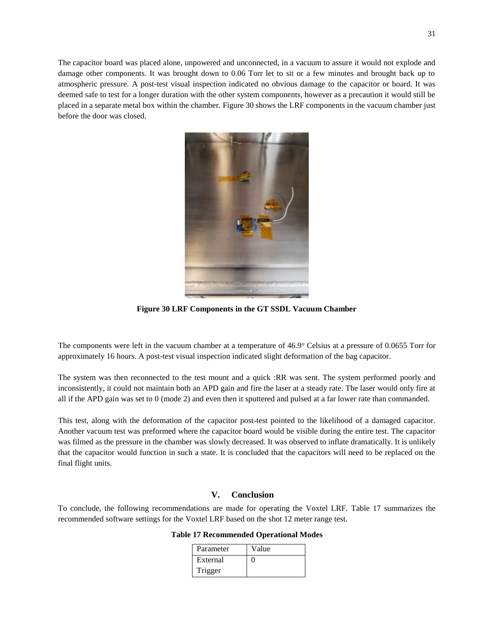The capacitor board was placed alone, unpowered and unconnected, in a vacuum to assure it would not explode and damage other components. It was brought down to 0.06 Torr let to sit or a few minutes and brought back up to atmospheric pressure. A post-test visual inspection indicated no obvious damage to the capacitor or board. It was deemed safe to test for a longer duration with the other system components, however as a precaution it would still be placed in a separate metal box within the chamber. [Figure 30](#page-30-0) shows the LRF components in the vacuum chamber just before the door was closed.

![](_page_30_Picture_1.jpeg)

**Figure 30 LRF Components in the GT SSDL Vacuum Chamber**

<span id="page-30-0"></span>The components were left in the vacuum chamber at a temperature of 46.9° Celsius at a pressure of 0.0655 Torr for approximately 16 hours. A post-test visual inspection indicated slight deformation of the bag capacitor.

The system was then reconnected to the test mount and a quick :RR was sent. The system performed poorly and inconsistently, it could not maintain both an APD gain and fire the laser at a steady rate. The laser would only fire at all if the APD gain was set to 0 (mode 2) and even then it sputtered and pulsed at a far lower rate than commanded.

This test, along with the deformation of the capacitor post-test pointed to the likelihood of a damaged capacitor. Another vacuum test was preformed where the capacitor board would be visible during the entire test. The capacitor was filmed as the pressure in the chamber was slowly decreased. It was observed to inflate dramatically. It is unlikely that the capacitor would function in such a state. It is concluded that the capacitors will need to be replaced on the final flight units.

#### **V. Conclusion**

<span id="page-30-1"></span>To conclude, the following recommendations are made for operating the Voxtel LRF. [Table 17](#page-30-1) summarizes the recommended software settings for the Voxtel LRF based on the shot 12 meter range test.

**Table 17 Recommended Operational Modes**

| Parameter | Value |
|-----------|-------|
| External  |       |
| Trigger   |       |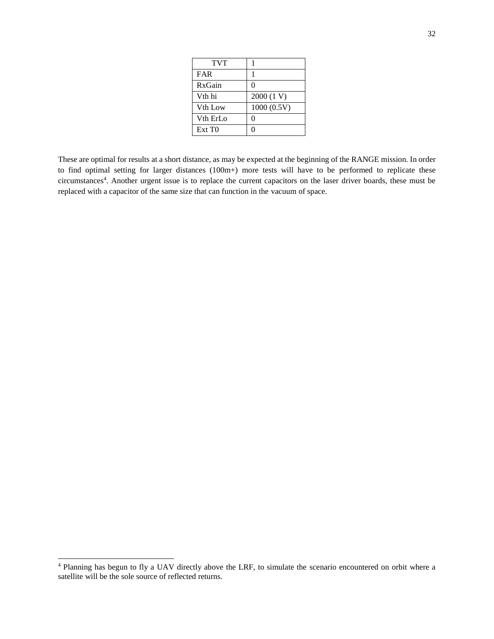| <b>TVT</b>           |              |
|----------------------|--------------|
| <b>FAR</b>           |              |
| RxGain               | $\mathbf{0}$ |
| V <sub>th</sub> hi   | 2000 (1 V)   |
| V <sub>th</sub> Low  | 1000(0.5V)   |
| V <sub>th</sub> ErLo | $\mathbf{0}$ |
| Ext T <sub>0</sub>   | 0            |

These are optimal for results at a short distance, as may be expected at the beginning of the RANGE mission. In order to find optimal setting for larger distances (100m+) more tests will have to be performed to replicate these circumstances<sup>4</sup> . Another urgent issue is to replace the current capacitors on the laser driver boards, these must be replaced with a capacitor of the same size that can function in the vacuum of space.

 $\overline{a}$ 

<sup>&</sup>lt;sup>4</sup> Planning has begun to fly a UAV directly above the LRF, to simulate the scenario encountered on orbit where a satellite will be the sole source of reflected returns.